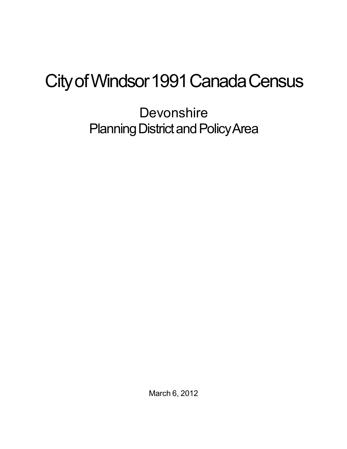## City of Windsor 1991 Canada Census

**Devonshire** Planning District and Policy Area

March 6, 2012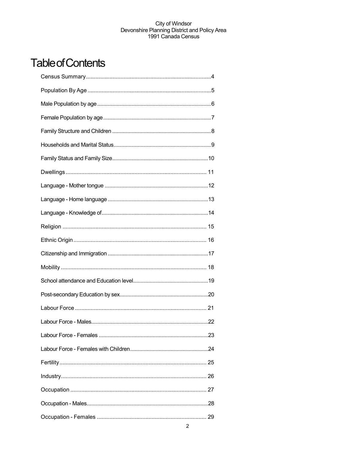## **Table of Contents**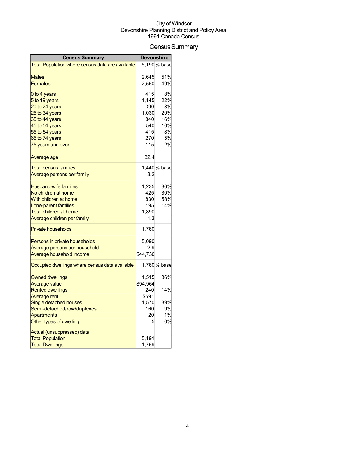## Census Summary

| <b>Census Summary</b>                            | <b>Devonshire</b> |              |
|--------------------------------------------------|-------------------|--------------|
| Total Population where census data are available |                   | 5,190 % base |
|                                                  |                   |              |
| Males                                            | 2,645             | 51%          |
| <b>Females</b>                                   | 2,550             | 49%          |
| 0 to 4 years                                     | 415               | 8%           |
| 5 to 19 years                                    | 1,145             | 22%          |
| 20 to 24 years                                   | 390               | 8%           |
| 25 to 34 years                                   | 1,030             | 20%          |
| 35 to 44 years                                   | 840               | 16%          |
| 45 to 54 years                                   | 540               | 10%          |
| 55 to 64 years                                   | 415               | 8%           |
| 65 to 74 years                                   | 270               | 5%           |
| 75 years and over                                | 115               | 2%           |
| Average age                                      | 32.4              |              |
| <b>Total census families</b>                     |                   | 1,440 % base |
| Average persons per family                       | 3.2               |              |
| <b>Husband-wife families</b>                     | 1,235             | 86%          |
| No children at home                              | 425               | 30%          |
| With children at home                            | 830               | 58%          |
| Lone-parent families                             | 195               | 14%          |
| <b>Total children at home</b>                    | 1,890             |              |
| Average children per family                      | 1.3               |              |
| <b>Private households</b>                        | 1,760             |              |
| Persons in private households                    | 5,090             |              |
| Average persons per household                    | 2.9               |              |
| Average household income                         | \$44,730          |              |
| Occupied dwellings where census data available   |                   | 1,760 % base |
| <b>Owned dwellings</b>                           | 1,515             | 86%          |
| <b>Average value</b>                             | \$94,964          |              |
| <b>Rented dwellings</b>                          | 240               | 14%          |
| <b>Average rent</b>                              | \$591             |              |
| Single detached houses                           | 1,570             | 89%          |
| Semi-detached/row/duplexes                       | 160               | 9%           |
| <b>Apartments</b>                                | 20                | 1%           |
| Other types of dwelling                          |                   | 0%           |
| Actual (unsuppressed) data:                      |                   |              |
| <b>Total Population</b>                          | 5,191             |              |
| <b>Total Dwellings</b>                           | 1,759             |              |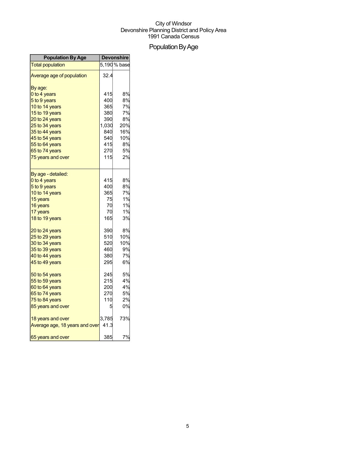## Population By Age

| <b>Population By Age</b>       | <b>Devonshire</b> |              |
|--------------------------------|-------------------|--------------|
| <b>Total population</b>        |                   | 5,190 % base |
| Average age of population      | 32.4              |              |
| By age:                        |                   |              |
| 0 to 4 years                   | 415               | 8%           |
| 5 to 9 years                   | 400               | 8%           |
| 10 to 14 years                 | 365               | 7%           |
| 15 to 19 years                 | 380               | 7%           |
| 20 to 24 years                 | 390               | 8%           |
| 25 to 34 years                 | 1,030             | 20%          |
| 35 to 44 years                 | 840               | 16%          |
| 45 to 54 years                 | 540               | 10%          |
| 55 to 64 years                 | 415               | 8%           |
| 65 to 74 years                 | 270               | 5%           |
| 75 years and over              | 115               | 2%           |
| By age - detailed:             |                   |              |
| 0 to 4 years                   | 415               | 8%           |
| 5 to 9 years                   | 400               | 8%           |
| 10 to 14 years                 | 365               | 7%           |
| 15 years                       | 75                | 1%           |
| 16 years                       | 70                | 1%           |
| 17 years                       | 70                | 1%           |
| 18 to 19 years                 | 165               | 3%           |
| 20 to 24 years                 | 390               | 8%           |
| 25 to 29 years                 | 510               | 10%          |
| 30 to 34 years                 | 520               | 10%          |
| 35 to 39 years                 | 460               | 9%           |
| 40 to 44 years                 | 380               | 7%           |
| 45 to 49 years                 | 295               | 6%           |
| 50 to 54 years                 | 245               | 5%           |
| 55 to 59 years                 | 215               | 4%           |
| 60 to 64 years                 | 200               | 4%           |
| 65 to 74 years                 | 270               | 5%           |
| 75 to 84 years                 | 110               | 2%           |
| 85 years and over              | 5                 | 0%           |
| 18 years and over              | 3,785             | 73%          |
| Average age, 18 years and over | 41.3              |              |
| 65 years and over              | 385               | 7%           |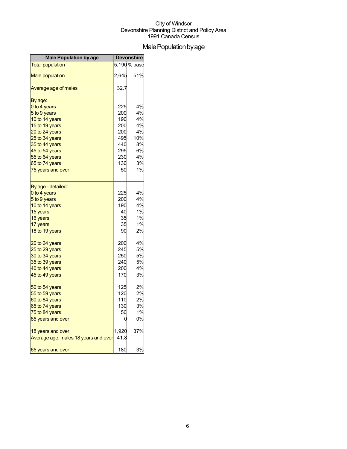## Male Population by age

| <b>Male Population by age</b>        | <b>Devonshire</b> |              |
|--------------------------------------|-------------------|--------------|
| <b>Total population</b>              |                   | 5,190 % base |
| <b>Male population</b>               | 2,645             | 51%          |
| Average age of males                 | 32.7              |              |
| By age:                              |                   |              |
| 0 to 4 years                         | 225               | 4%           |
| 5 to 9 years                         | 200               | 4%           |
| 10 to 14 years                       | 190               | 4%           |
| 15 to 19 years                       | 200               | 4%           |
| 20 to 24 years                       | 200               | 4%           |
| 25 to 34 years                       | 495               | 10%          |
| 35 to 44 years                       | 440               | 8%           |
| 45 to 54 years                       | 295               | 6%           |
| 55 to 64 years                       | 230               | 4%<br>3%     |
| 65 to 74 years                       | 130<br>50         | 1%           |
| 75 years and over                    |                   |              |
| By age - detailed:                   |                   |              |
| 0 to 4 years                         | 225               | 4%           |
| 5 to 9 years                         | 200               | 4%           |
| 10 to 14 years                       | 190               | 4%           |
| 15 years                             | 40                | 1%           |
| 16 years                             | 35                | 1%           |
| 17 years                             | 35                | $1\%$        |
| 18 to 19 years                       | 90                | 2%           |
| 20 to 24 years                       | 200               | 4%           |
| 25 to 29 years                       | 245               | 5%           |
| 30 to 34 years                       | 250               | 5%           |
| 35 to 39 years                       | 240               | 5%           |
| 40 to 44 years                       | 200               | 4%           |
| 45 to 49 years                       | 170               | 3%           |
| 50 to 54 years                       | 125               | 2%           |
| 55 to 59 years                       | 120               | 2%           |
| 60 to 64 years                       | 110               | 2%           |
| 65 to 74 years                       | 130               | 3%           |
| 75 to 84 years                       | 50                | 1%           |
| 85 years and over                    |                   | 0%           |
| 18 years and over                    | 1,920             | 37%          |
| Average age, males 18 years and over | 41.8              |              |
| 65 years and over                    | 180               | 3%           |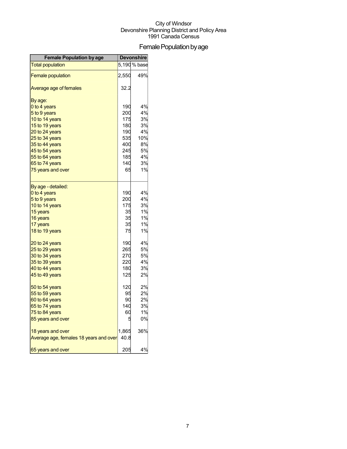## Female Population by age

| <b>Female Population by age</b>        | <b>Devonshire</b> |              |
|----------------------------------------|-------------------|--------------|
| <b>Total population</b>                |                   | 5,190 % base |
| <b>Female population</b>               | 2,550             | 49%          |
| Average age of females                 | 32.2              |              |
| By age:                                |                   |              |
| 0 to 4 years                           | 190               | 4%           |
| 5 to 9 years                           | 200               | 4%           |
| 10 to 14 years                         | 175               | 3%           |
| 15 to 19 years                         | 180               | 3%           |
| 20 to 24 years                         | 190               | 4%           |
| 25 to 34 years                         | 535               | 10%          |
| 35 to 44 years                         | 400               | 8%           |
| 45 to 54 years                         | 245               | 5%           |
| 55 to 64 years                         | 185               | 4%           |
| 65 to 74 years                         | 140               | 3%           |
| 75 years and over                      | 65                | 1%           |
| By age - detailed:                     |                   |              |
| 0 to 4 years                           | 190               | 4%           |
| 5 to 9 years                           | 200               | 4%           |
| 10 to 14 years                         | 175               | 3%           |
| 15 years                               | 35                | 1%           |
| 16 years                               | 35                | 1%           |
| 17 years                               | 35                | 1%           |
| 18 to 19 years                         | 75                | 1%           |
| 20 to 24 years                         | 190               | 4%           |
| 25 to 29 years                         | 265               | 5%           |
| 30 to 34 years                         | 270               | 5%           |
| 35 to 39 years                         | 220               | 4%           |
| 40 to 44 years                         | 180               | 3%           |
| 45 to 49 years                         | 125               | 2%           |
| 50 to 54 years                         | 120               | 2%           |
| 55 to 59 years                         | 95                | 2%           |
| 60 to 64 years                         | 90                | 2%           |
| 65 to 74 years                         | 140               | 3%           |
| 75 to 84 years                         | 60                | 1%           |
| 85 years and over                      | 5                 | 0%           |
| 18 years and over                      | 1,865             | 36%          |
| Average age, females 18 years and over | 40.8              |              |
| 65 years and over                      | 205               | 4%           |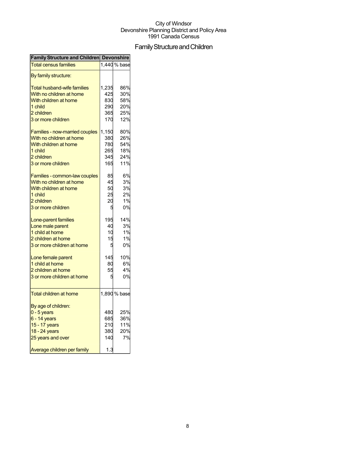## Family Structure and Children

| <b>Family Structure and Children Devonshire</b> |       |              |
|-------------------------------------------------|-------|--------------|
| <b>Total census families</b>                    |       | 1,440 % base |
| By family structure:                            |       |              |
| <b>Total husband-wife families</b>              | 1,235 | 86%          |
| With no children at home                        | 425   | 30%          |
| With children at home                           | 830   | 58%          |
| 1 child                                         | 290   | 20%          |
| 2 children                                      | 365   | 25%          |
| 3 or more children                              | 170   | 12%          |
| Families - now-married couples                  | 1,150 | 80%          |
| With no children at home                        | 380   | 26%          |
| With children at home                           | 780   | 54%          |
| 1 child                                         | 265   | 18%          |
| 2 children                                      | 345   | 24%          |
| 3 or more children                              | 165   | 11%          |
| Families - common-law couples                   | 85    | 6%           |
| With no children at home                        | 45    | 3%           |
| With children at home                           | 50    | 3%           |
| 1 child                                         | 25    | 2%           |
| 2 children                                      | 20    | 1%           |
| 3 or more children                              | 5     | 0%           |
| Lone-parent families                            | 195   | 14%          |
| Lone male parent                                | 40    | 3%           |
| 1 child at home                                 | 10    | 1%           |
| 2 children at home                              | 15    | 1%           |
| 3 or more children at home                      | 5     | 0%           |
|                                                 |       |              |
| Lone female parent                              | 145   | 10%          |
| 1 child at home                                 | 80    | 6%           |
| 2 children at home                              | 55    | 4%           |
| 3 or more children at home                      | ŗ     | 0%           |
| <b>Total children at home</b>                   |       | 1,890 % base |
| By age of children:                             |       |              |
| $0 - 5$ years                                   | 480   | 25%          |
| $6 - 14$ years                                  | 685   | 36%          |
| 15 - 17 years                                   | 210   | 11%          |
| 18 - 24 years                                   | 380   | 20%          |
| 25 years and over                               | 140   | 7%           |
| Average children per family                     | 1.3   |              |
|                                                 |       |              |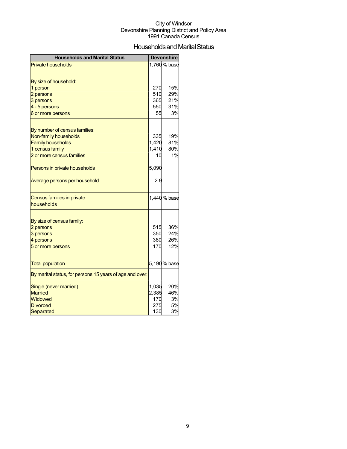## Households and Marital Status

| <b>Households and Marital Status</b>                     |       | <b>Devonshire</b> |
|----------------------------------------------------------|-------|-------------------|
| <b>Private households</b>                                |       | 1,760 % base      |
|                                                          |       |                   |
| By size of household:                                    |       |                   |
| 1 person                                                 | 270   | 15%               |
| 2 persons                                                | 510   | 29%               |
| 3 persons                                                | 365   | 21%               |
| 4 - 5 persons                                            | 550   | 31%               |
| 6 or more persons                                        | 55    | 3%                |
|                                                          |       |                   |
| By number of census families:                            |       | 19%               |
| Non-family households                                    | 335   | 81%               |
| <b>Family households</b>                                 | 1,420 | 80%               |
| 1 census family                                          | 1,410 | 1%                |
| 2 or more census families                                | 10    |                   |
| Persons in private households                            | 5,090 |                   |
| Average persons per household                            | 2.9   |                   |
| Census families in private                               |       | 1,440 % base      |
| households                                               |       |                   |
|                                                          |       |                   |
| By size of census family:                                |       |                   |
| 2 persons                                                | 515   | 36%               |
| 3 persons                                                | 350   | 24%               |
| 4 persons                                                | 380   | 26%               |
| 5 or more persons                                        | 170   | 12%               |
| <b>Total population</b>                                  |       | 5,190 % base      |
| By marital status, for persons 15 years of age and over: |       |                   |
| Single (never married)                                   | 1,035 | 20%               |
| <b>Married</b>                                           | 2,385 | 46%               |
| Widowed                                                  | 170   | 3%                |
| <b>Divorced</b>                                          | 275   | 5%                |
| Separated                                                | 130   | 3%                |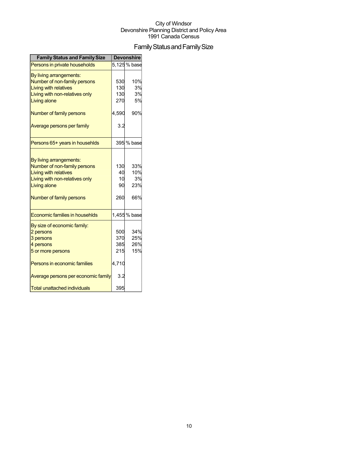## Family Status and Family Size

| <b>Family Status and Family Size</b>                                                                                                                                  |                                          | <b>Devonshire</b>              |
|-----------------------------------------------------------------------------------------------------------------------------------------------------------------------|------------------------------------------|--------------------------------|
| Persons in private households                                                                                                                                         |                                          | 5,125 % base                   |
| By living arrangements:<br>Number of non-family persons<br><b>Living with relatives</b><br>Living with non-relatives only<br>Living alone                             | 530<br>130<br>130<br>270                 | 10%<br>3%<br>3%<br>5%          |
| Number of family persons                                                                                                                                              | 4,590                                    | 90%                            |
| Average persons per family                                                                                                                                            | 3.2                                      |                                |
| Persons 65+ years in househlds                                                                                                                                        |                                          | 395 % base                     |
| By living arrangements:<br>Number of non-family persons<br><b>Living with relatives</b><br>Living with non-relatives only<br>Living alone<br>Number of family persons | 130<br>40<br>10<br>90<br>260             | 33%<br>10%<br>3%<br>23%<br>66% |
| Economic families in househlds                                                                                                                                        |                                          | 1,455 % base                   |
| By size of economic family:<br>2 persons<br>3 persons<br>4 persons<br>5 or more persons<br>Persons in economic families<br>Average persons per economic family        | 500<br>370<br>385<br>215<br>4,710<br>3.2 | 34%<br>25%<br>26%<br>15%       |
| <b>Total unattached individuals</b>                                                                                                                                   | 395                                      |                                |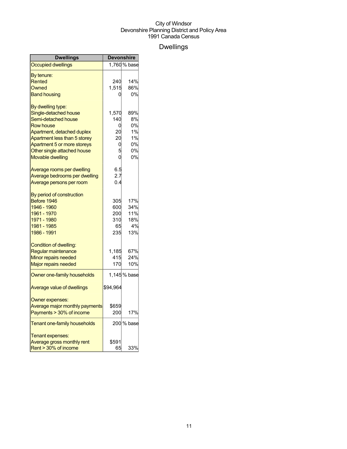## Dwellings

| Dwellings                      | <b>Devonshire</b> |              |
|--------------------------------|-------------------|--------------|
| <b>Occupied dwellings</b>      |                   | 1,760 % base |
| By tenure:                     |                   |              |
| Rented                         | 240               | 14%          |
| Owned                          | 1,515             | 86%          |
| <b>Band housing</b>            | 0                 | 0%           |
| By dwelling type:              |                   |              |
| Single-detached house          | 1,570             | 89%          |
| Semi-detached house            | 140               | 8%           |
| <b>Row house</b>               | 0                 | 0%           |
| Apartment, detached duplex     | 20                | 1%           |
| Apartment less than 5 storey   | 20                | 1%           |
| Apartment 5 or more storeys    | 0                 | 0%           |
| Other single attached house    | 5                 | 0%           |
| <b>Movable dwelling</b>        | 0                 | 0%           |
| Average rooms per dwelling     | 6.5               |              |
| Average bedrooms per dwelling  | 2.7               |              |
| Average persons per room       | 0.4               |              |
| By period of construction      |                   |              |
| Before 1946                    | 305               | 17%          |
| 1946 - 1960                    | 600               | 34%          |
| 1961 - 1970                    | 200               | 11%          |
| 1971 - 1980                    | 310               | 18%          |
| 1981 - 1985                    | 65                | 4%           |
| 1986 - 1991                    | 235               | 13%          |
| <b>Condition of dwelling:</b>  |                   |              |
| Regular maintenance            | 1,185             | 67%          |
| Minor repairs needed           | 415               | 24%          |
| Major repairs needed           | 170               | 10%          |
| Owner one-family households    |                   | 1,145 % base |
| Average value of dwellings     | \$94,964          |              |
| Owner expenses:                |                   |              |
| Average major monthly payments | \$659             |              |
| Payments > 30% of income       | 200               | 17%          |
| Tenant one-family households   |                   | 200 % base   |
| Tenant expenses:               |                   |              |
| Average gross monthly rent     | \$591             |              |
| Rent > 30% of income           | 65                | 33%          |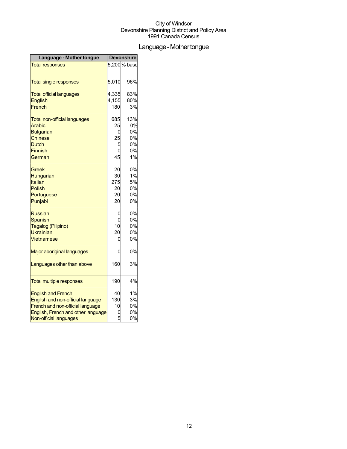## Language - Mother tongue

| Language - Mother tongue            | <b>Devonshire</b> |              |
|-------------------------------------|-------------------|--------------|
| <b>Total responses</b>              |                   | 5,200 % base |
|                                     |                   |              |
| <b>Total single responses</b>       | 5,010             | 96%          |
| <b>Total official languages</b>     | 4,335             | 83%          |
| <b>English</b>                      | 4,155             | 80%          |
| French                              | 180               | 3%           |
| <b>Total non-official languages</b> | 685               | 13%          |
| Arabic                              | 25                | 0%           |
| <b>Bulgarian</b>                    |                   | 0%           |
| <b>Chinese</b>                      | 25                | 0%           |
| <b>Dutch</b>                        | 5                 | 0%           |
| <b>Finnish</b>                      |                   | 0%           |
| German                              | 45                | 1%           |
| Greek                               | 20                | 0%           |
| Hungarian                           | 30                | 1%           |
| Italian                             | 275               | 5%           |
| <b>Polish</b>                       | 20                | 0%           |
| Portuguese                          | 20                | 0%           |
| Punjabi                             | 20                | 0%           |
| <b>Russian</b>                      | 0                 | 0%           |
| <b>Spanish</b>                      |                   | 0%           |
| Tagalog (Pilipino)                  | 10                | 0%           |
| Ukrainian                           | 20                | 0%           |
| Vietnamese                          |                   | 0%           |
| Major aboriginal languages          |                   | 0%           |
| Languages other than above          | 160               | 3%           |
| <b>Total multiple responses</b>     | 190               | 4%           |
| <b>English and French</b>           | 40                | 1%           |
| English and non-official language   | 130               | 3%           |
| French and non-official language    | 10                | 0%           |
| English, French and other language  |                   | 0%           |
| Non-official languages              |                   | 0%           |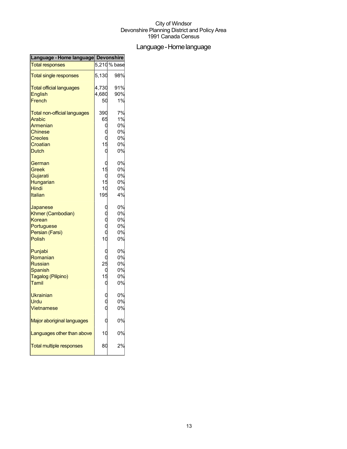## Language-Homelanguage

| Language - Home language Devonshire |             |              |
|-------------------------------------|-------------|--------------|
| <b>Total responses</b>              |             | 5,210 % base |
| <b>Total single responses</b>       | 5,130       | 98%          |
| <b>Total official languages</b>     | 4,730       | 91%          |
| English                             | 4,680       | 90%          |
| French                              | 50          | 1%           |
| <b>Total non-official languages</b> | 390         | 7%           |
| <b>Arabic</b>                       | 65          | 1%           |
| Armenian                            | С           | 0%           |
| <b>Chinese</b>                      |             | 0%           |
| <b>Creoles</b>                      | C           | 0%           |
| Croatian                            | 15          | 0%           |
| <b>Dutch</b>                        | C           | 0%           |
| German                              | C           | 0%           |
| Greek                               | 15          | 0%           |
| Gujarati                            | C           | 0%           |
| Hungarian                           | 15          | 0%           |
| Hindi                               | 10          | 0%           |
| Italian                             | 195         | 4%           |
| Japanese                            | C           | 0%           |
| Khmer (Cambodian)                   |             | 0%           |
| Korean                              | c<br>C<br>C | 0%           |
| Portuguese                          |             | 0%           |
| Persian (Farsi)                     | C           | 0%           |
| <b>Polish</b>                       | 10          | 0%           |
| Punjabi                             |             | 0%           |
| Romanian                            |             | 0%           |
| <b>Russian</b>                      | 25          | 0%           |
| Spanish                             | C           | 0%           |
| Tagalog (Pilipino)                  | 15          | 0%           |
| Tamil                               | C           | 0%           |
| <b>Ukrainian</b>                    |             | 0%           |
| Urdu                                |             | 0%           |
| Vietnamese                          |             | 0%           |
| Major aboriginal languages          |             | 0%           |
| Languages other than above          | 10          | 0%           |
| <b>Total multiple responses</b>     | 80          | 2%           |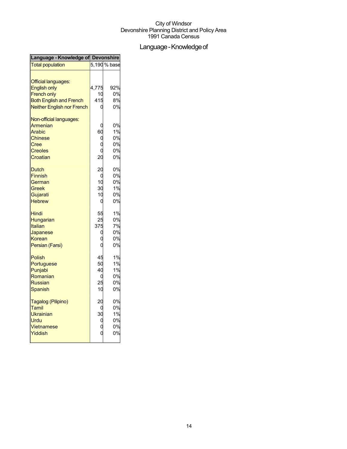## Language - Knowledge of

| Language - Knowledge of Devonshire |              |     |
|------------------------------------|--------------|-----|
| <b>Total population</b>            | 5,190 % base |     |
| Official languages:                |              |     |
| <b>English only</b>                | 4,775        | 92% |
| <b>French only</b>                 | 10           | 0%  |
| <b>Both English and French</b>     | 415          | 8%  |
| Neither English nor French         |              | 0%  |
| Non-official languages:            |              |     |
| Armenian                           |              | 0%  |
| Arabic                             | 60           | 1%  |
| <b>Chinese</b>                     | C            | 0%  |
| Cree                               | O            | 0%  |
| <b>Creoles</b>                     |              | 0%  |
| Croatian                           | 20           | 0%  |
| <b>Dutch</b>                       | 20           | 0%  |
| <b>Finnish</b>                     | C            | 0%  |
| German                             | 10           | 0%  |
| Greek                              | 30           | 1%  |
| Gujarati                           | 10           | 0%  |
| <b>Hebrew</b>                      | 0            | 0%  |
| <b>Hindi</b>                       | 55           | 1%  |
| Hungarian                          | 25           | 0%  |
| Italian                            | 375          | 7%  |
| Japanese                           | C            | 0%  |
| Korean                             | Ċ            | 0%  |
| Persian (Farsi)                    | በ            | 0%  |
| Polish                             | 45           | 1%  |
| Portuguese                         | 50           | 1%  |
| Punjabi                            | 40           | 1%  |
| Romanian                           | 0            | 0%  |
| <b>Russian</b>                     | 25           | 0%  |
| Spanish                            | 10           | 0%  |
| Tagalog (Pilipino)                 | 20           | 0%  |
| Tamil                              | 0            | 0%  |
| Ukrainian                          | 30           | 1%  |
| Urdu                               | 0            | 0%  |
| Vietnamese                         |              | 0%  |
| Yiddish                            | Ċ            | 0%  |
|                                    |              |     |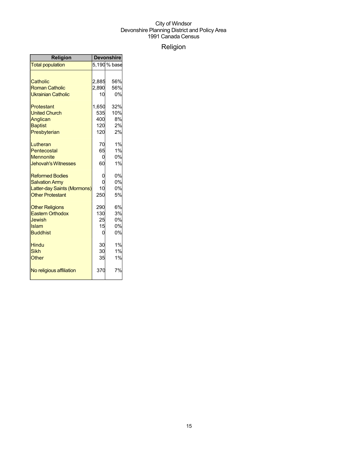## Religion

| Religion                    | <b>Devonshire</b> |              |
|-----------------------------|-------------------|--------------|
| <b>Total population</b>     |                   | 5,190 % base |
|                             |                   |              |
| Catholic                    | 2,885             | 56%          |
| <b>Roman Catholic</b>       | 2,890             | 56%          |
| <b>Ukrainian Catholic</b>   | 10                | 0%           |
| Protestant                  | 1,650             | 32%          |
| <b>United Church</b>        | 535               | 10%          |
| Anglican                    | 400               | 8%           |
| <b>Baptist</b>              | 120               | 2%           |
| Presbyterian                | 120               | 2%           |
| Lutheran                    | 70                | 1%           |
| Pentecostal                 | 65                | 1%           |
| <b>Mennonite</b>            | 0                 | 0%           |
| <b>Jehovah's Witnesses</b>  | 60                | 1%           |
| <b>Reformed Bodies</b>      | 0                 | 0%           |
| <b>Salvation Army</b>       | $\Omega$          | 0%           |
| Latter-day Saints (Mormons) | 10                | 0%           |
| <b>Other Protestant</b>     | 250               | 5%           |
| <b>Other Religions</b>      | 290               | 6%           |
| <b>Eastern Orthodox</b>     | 130               | 3%           |
| Jewish                      | 25                | 0%           |
| Islam                       | 15                | 0%           |
| <b>Buddhist</b>             | 0                 | 0%           |
| Hindu                       | 30                | 1%           |
| Sikh                        | 30                | 1%           |
| Other                       | 35                | 1%           |
| No religious affiliation    | 370               | 7%           |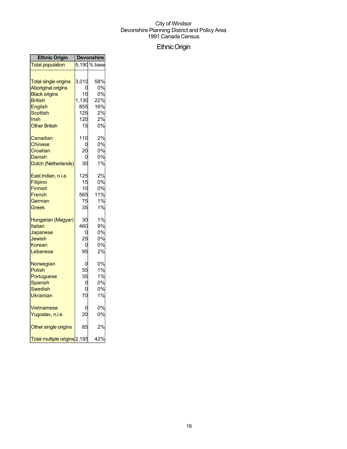## EthnicOrigin

| <b>Ethnic Origin</b>         | <b>Devonshire</b> |              |
|------------------------------|-------------------|--------------|
| <b>Total population</b>      |                   | 5,190 % base |
| <b>Total single origins</b>  | 3,010             | 58%          |
| <b>Aboriginal origins</b>    | ი                 | 0%           |
| <b>Black origins</b>         | 10                | 0%           |
| <b>British</b>               | 1,130             | 22%          |
| <b>English</b>               | 855               | 16%          |
| Scottish                     | 125               | 2%           |
| Irish                        | 120               | 2%           |
| <b>Other British</b>         | 15                | 0%           |
| Canadian                     | 110               | 2%           |
| <b>Chinese</b>               | 0                 | 0%           |
| Croatian                     | 20                | 0%           |
| Danish                       | 0                 | 0%           |
| Dutch (Netherlands)          | 30                | 1%           |
| East Indian, n.i.e.          | 125               | 2%           |
| Filipino                     | 15                | 0%           |
| Finnish                      | 10                | 0%           |
| French                       | 565               | 11%          |
| German                       | 75                | 1%           |
| Greek                        | 35                | 1%           |
| Hungarian (Magyar)           | 30                | 1%           |
| Italian                      | 460               | 9%           |
| Japanese                     | 0                 | 0%           |
| Jewish                       | 25                | 0%           |
| Korean                       | 0                 | 0%           |
| Lebanese                     | 95                | 2%           |
| Norwegian                    | 0                 | 0%           |
| <b>Polish</b>                | 55                | 1%           |
| Portuguese                   | 35                | 1%           |
| Spanish                      | 0                 | 0%           |
| Swedish                      | 0                 | 0%           |
| Ukrainian                    | 70                | 1%           |
| Vietnamese                   | 0                 | 0%           |
| Yugoslav, n.i.e.             | 20                | 0%           |
| Other single origins         | 85                | 2%           |
| Total multiple origins 2,195 |                   | 42%          |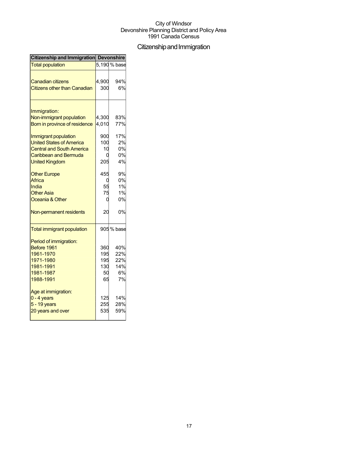## Citizenship and Immigration

| Citizenship and Immigration Devonshire   |       |              |
|------------------------------------------|-------|--------------|
| <b>Total population</b>                  |       | 5.190 % base |
|                                          |       | 94%          |
| <b>Canadian citizens</b>                 | 4,900 |              |
| <b>Citizens other than Canadian</b>      | 300   | 6%           |
|                                          |       |              |
| Immigration:<br>Non-immigrant population | 4,300 | 83%          |
| Born in province of residence            | 4,010 | 77%          |
|                                          |       |              |
| Immigrant population                     | 900   | 17%          |
| <b>United States of America</b>          | 100   | 2%           |
| <b>Central and South America</b>         | 10    | 0%           |
| <b>Caribbean and Bermuda</b>             |       | 0%           |
| <b>United Kingdom</b>                    | 205   | 4%           |
| <b>Other Europe</b>                      | 455   | 9%           |
| Africa                                   |       | 0%           |
| India                                    | 55    | 1%           |
| <b>Other Asia</b>                        | 75    | 1%           |
| Oceania & Other                          | ſ     | 0%           |
| Non-permanent residents                  | 20    | 0%           |
| <b>Total immigrant population</b>        |       | 905 % base   |
| Period of immigration:                   |       |              |
| Before 1961                              | 360   | 40%          |
| 1961-1970                                | 195   | 22%          |
| 1971-1980                                | 195   | 22%          |
| 1981-1991                                | 130   | 14%          |
| 1981-1987                                | 50    | 6%           |
| 1988-1991                                | 65    | 7%           |
| Age at immigration:                      |       |              |
| $0 - 4$ years                            | 125   | 14%          |
| 5 - 19 years                             | 255   | 28%          |
| 20 years and over                        | 535   | 59%          |
|                                          |       |              |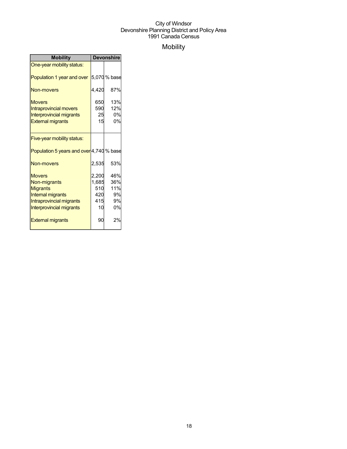## Mobility

| <b>Mobility</b>                                                                                                               | <b>Devonshire</b>                         |                                     |
|-------------------------------------------------------------------------------------------------------------------------------|-------------------------------------------|-------------------------------------|
| One-year mobility status:                                                                                                     |                                           |                                     |
| Population 1 year and over                                                                                                    |                                           | 5,070 % base                        |
| Non-movers                                                                                                                    | 4,420                                     | 87%                                 |
| <b>Movers</b><br><b>Intraprovincial movers</b><br><b>Interprovincial migrants</b><br><b>External migrants</b>                 | 650<br>590<br>25<br>15                    | 13%<br>12%<br>0%<br>0%              |
| Five-year mobility status:                                                                                                    |                                           |                                     |
| Population 5 years and over 4,740 % base                                                                                      |                                           |                                     |
| Non-movers                                                                                                                    | 2,535                                     | 53%                                 |
| <b>Movers</b><br>Non-migrants<br><b>Migrants</b><br>Internal migrants<br>Intraprovincial migrants<br>Interprovincial migrants | 2,200<br>1,685<br>510<br>420<br>415<br>10 | 46%<br>36%<br>11%<br>9%<br>9%<br>0% |
| <b>External migrants</b>                                                                                                      | 90                                        | 2%                                  |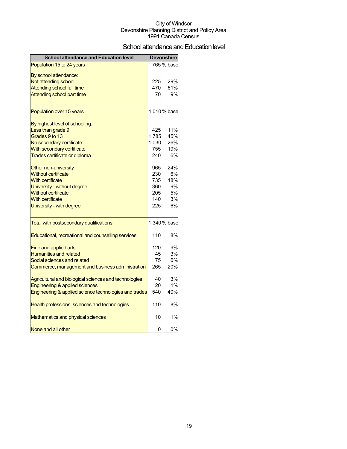## School attendance and Education level

| <b>School attendance and Education level</b>          |       | <b>Devonshire</b> |
|-------------------------------------------------------|-------|-------------------|
| Population 15 to 24 years                             |       | 765 % base        |
| By school attendance:                                 |       |                   |
| Not attending school                                  | 225   | 29%               |
| <b>Attending school full time</b>                     | 470   | 61%               |
| Attending school part time                            | 70    | 9%                |
| Population over 15 years                              |       | 4,010 % base      |
| By highest level of schooling:                        |       |                   |
| Less than grade 9                                     | 425   | 11%               |
| Grades 9 to 13                                        | 1,785 | 45%               |
| No secondary certificate                              | 1,030 | 26%               |
| With secondary certificate                            | 755   | 19%               |
| Trades certificate or diploma                         | 240   | 6%                |
| Other non-university                                  | 965   | 24%               |
| <b>Without certificate</b>                            | 230   | 6%                |
| With certificate                                      | 735   | 18%               |
| University - without degree                           | 360   | 9%                |
| <b>Without certificate</b>                            | 205   | 5%                |
| <b>With certificate</b>                               | 140   | 3%                |
| University - with degree                              | 225   | 6%                |
| Total with postsecondary qualifications               |       | 1,340 % base      |
| Educational, recreational and counselling services    | 110   | 8%                |
| <b>Fine and applied arts</b>                          | 120   | 9%                |
| <b>Humanities and related</b>                         | 45    | 3%                |
| Social sciences and related                           | 75    | 6%                |
| Commerce, management and business administration      | 265   | 20%               |
| Agricultural and biological sciences and technologies | 40    | 3%                |
| Engineering & applied sciences                        | 20    | 1%                |
| Engineering & applied science technologies and trades | 540   | 40%               |
| Health professions, sciences and technologies         | 110   | 8%                |
| Mathematics and physical sciences                     | 10    | 1%                |
| None and all other                                    | 0     | 0%                |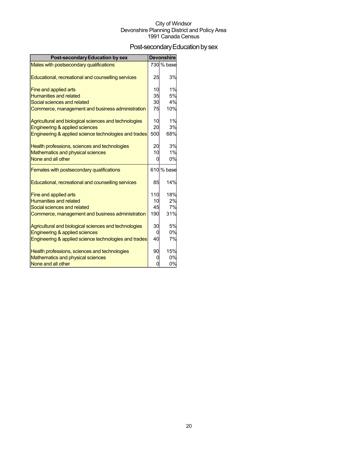## Post-secondary Education by sex

| <b>Post-secondary Education by sex</b>                |     | <b>Devonshire</b> |
|-------------------------------------------------------|-----|-------------------|
| Males with postsecondary qualifications               |     | 730 % base        |
|                                                       |     |                   |
| Educational, recreational and counselling services    | 25  | 3%                |
| Fine and applied arts                                 | 10  | 1%                |
| <b>Humanities and related</b>                         | 35  | 5%                |
| Social sciences and related                           | 30  | 4%                |
| Commerce, management and business administration      | 75  | 10%               |
| Agricultural and biological sciences and technologies | 10  | 1%                |
| Engineering & applied sciences                        | 20  | 3%                |
| Engineering & applied science technologies and trades | 500 | 68%               |
| Health professions, sciences and technologies         | 20  | 3%                |
| Mathematics and physical sciences                     | 10  | 1%                |
| None and all other                                    | 0   | 0%                |
| Females with postsecondary qualifications             |     | 610 % base        |
| Educational, recreational and counselling services    | 85  | 14%               |
| Fine and applied arts                                 | 110 | 18%               |
| <b>Humanities and related</b>                         | 10  | 2%                |
| Social sciences and related                           | 45  | 7%                |
| Commerce, management and business administration      | 190 | 31%               |
| Agricultural and biological sciences and technologies | 30  | 5%                |
| Engineering & applied sciences                        | 0   | 0%                |
| Engineering & applied science technologies and trades | 40  | 7%                |
| Health professions, sciences and technologies         | 90  | 15%               |
| Mathematics and physical sciences                     | O   | 0%                |
| None and all other                                    | 0   | 0%                |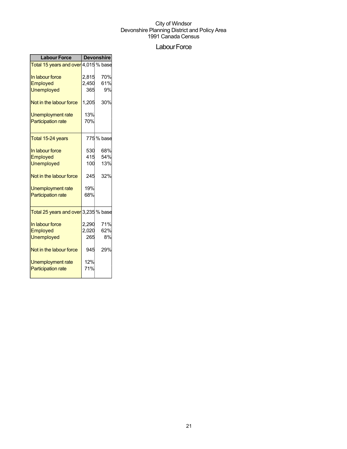## Labour Force

| <b>Labour Force</b>                  | <b>Devonshire</b> |            |  |
|--------------------------------------|-------------------|------------|--|
| Total 15 years and over 4,015 % base |                   |            |  |
| In labour force                      | 2,815             | 70%        |  |
| Employed                             | 2,450             | 61%        |  |
| <b>Unemployed</b>                    | 365               | 9%         |  |
| Not in the labour force              | 1,205             | 30%        |  |
| Unemployment rate                    | 13%               |            |  |
| <b>Participation rate</b>            | 70%               |            |  |
| Total 15-24 years                    |                   | 775 % base |  |
| In labour force                      | 530               | 68%        |  |
| Employed                             | 415               | 54%        |  |
| <b>Unemployed</b>                    | 100               | 13%        |  |
| Not in the labour force              | 245               | 32%        |  |
| Unemployment rate                    | 19%               |            |  |
| <b>Participation rate</b>            | 68%               |            |  |
| Total 25 years and over 3,235 % base |                   |            |  |
| In labour force                      | 2,290             | 71%        |  |
| Employed                             | 2,020             | 62%        |  |
| <b>Unemployed</b>                    | 265               | 8%         |  |
| Not in the labour force              | 945               | 29%        |  |
| Unemployment rate                    | 12%               |            |  |
| <b>Participation rate</b>            | 71%               |            |  |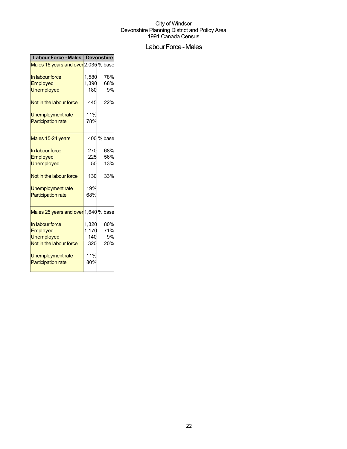## Labour Force - Males

| Labour Force - Males   Devonshire    |       |            |
|--------------------------------------|-------|------------|
| Males 15 years and over 2,035 % base |       |            |
| In labour force                      | 1,580 | 78%        |
| Employed                             | 1,390 | 68%        |
| <b>Unemployed</b>                    | 180   | 9%         |
| Not in the labour force              | 445   | 22%        |
| Unemployment rate                    | 11%   |            |
| <b>Participation rate</b>            | 78%   |            |
| Males 15-24 years                    |       | 400 % base |
| In labour force                      | 270   | 68%        |
| Employed                             | 225   | 56%        |
| <b>Unemployed</b>                    | 50    | 13%        |
| Not in the labour force              | 130   | 33%        |
| Unemployment rate                    | 19%   |            |
| <b>Participation rate</b>            | 68%   |            |
| Males 25 years and over 1,640 % base |       |            |
| In labour force                      | 1,320 | 80%        |
| Employed                             | 1,170 | 71%        |
| <b>Unemployed</b>                    | 140   | 9%         |
| Not in the labour force              | 320   | 20%        |
| Unemployment rate                    | 11%   |            |
| <b>Participation rate</b>            | 80%   |            |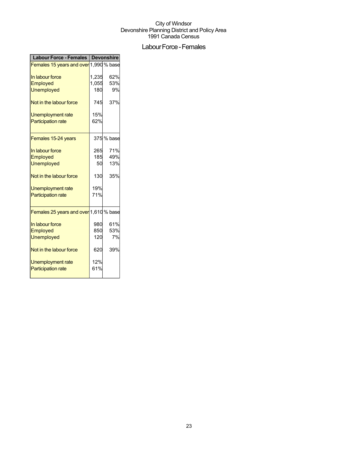## Labour Force - Females

| <b>Labour Force - Females</b>          | Devonshire |            |
|----------------------------------------|------------|------------|
| Females 15 years and over 1,990 % base |            |            |
| In labour force                        | 1,235      | 62%        |
| Employed                               | 1,055      | 53%        |
| <b>Unemployed</b>                      | 180        | 9%         |
| Not in the labour force                | 745        | 37%        |
| Unemployment rate                      | 15%        |            |
| <b>Participation rate</b>              | 62%        |            |
| Females 15-24 years                    |            | 375 % base |
| In labour force                        | 265        | 71%        |
| Employed                               | 185        | 49%        |
| <b>Unemployed</b>                      | 50         | 13%        |
| Not in the labour force                | 130        | 35%        |
| <b>Unemployment rate</b>               | 19%        |            |
| <b>Participation rate</b>              | 71%        |            |
| Females 25 years and over 1,610 % base |            |            |
| In labour force                        | 980        | 61%        |
| Employed                               | 850        | 53%        |
| <b>Unemployed</b>                      | 120        | 7%         |
| Not in the labour force                | 620        | 39%        |
| <b>Unemployment rate</b>               | 12%        |            |
| <b>Participation rate</b>              | 61%        |            |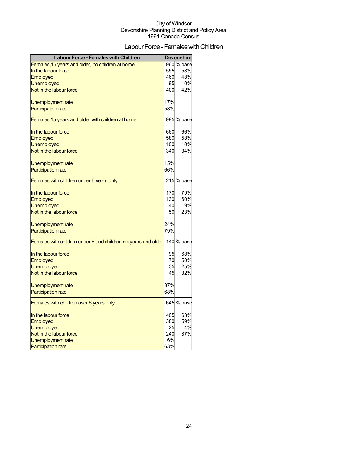## Labour Force - Females with Children

| <b>Labour Force - Females with Children</b>                    |     | <b>Devonshire</b> |
|----------------------------------------------------------------|-----|-------------------|
| Females, 15 years and older, no children at home               |     | 960 % base        |
| In the labour force                                            | 555 | 58%               |
| <b>Employed</b>                                                | 460 | 48%               |
| <b>Unemployed</b>                                              | 95  | 10%               |
| Not in the labour force                                        | 400 | 42%               |
| Unemployment rate                                              | 17% |                   |
| <b>Participation rate</b>                                      | 58% |                   |
| Females 15 years and older with children at home               |     | 995 % base        |
|                                                                |     |                   |
| In the labour force                                            | 660 | 66%               |
| <b>Employed</b>                                                | 580 | 58%               |
| <b>Unemployed</b>                                              | 100 | 10%               |
| Not in the labour force                                        | 340 | 34%               |
| Unemployment rate                                              | 15% |                   |
| <b>Participation rate</b>                                      | 66% |                   |
| Females with children under 6 years only                       |     | 215 % base        |
| In the labour force                                            | 170 | 79%               |
| Employed                                                       | 130 | 60%               |
| <b>Unemployed</b>                                              | 40  | 19%               |
| Not in the labour force                                        | 50  | 23%               |
| Unemployment rate                                              | 24% |                   |
| <b>Participation rate</b>                                      | 79% |                   |
| Females with children under 6 and children six years and older |     | 140 % base        |
| In the labour force                                            | 95  | 68%               |
| Employed                                                       | 70  | 50%               |
| <b>Unemployed</b>                                              | 35  | 25%               |
| Not in the labour force                                        | 45  | 32%               |
| Unemployment rate                                              | 37% |                   |
| <b>Participation rate</b>                                      | 68% |                   |
| Females with children over 6 years only                        |     | 645 % base        |
| In the labour force                                            | 405 | 63%               |
| Employed                                                       | 380 | 59%               |
| <b>Unemployed</b>                                              | 25  | 4%                |
| Not in the labour force                                        | 240 | 37%               |
| Unemployment rate                                              | 6%  |                   |
| <b>Participation rate</b>                                      | 63% |                   |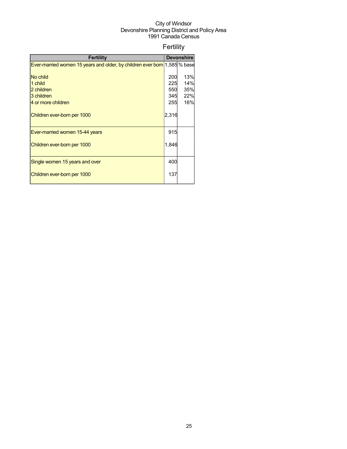## Fertility

| <b>Fertility</b>                                                          |       | <b>Devonshire</b> |
|---------------------------------------------------------------------------|-------|-------------------|
| Ever-married women 15 years and older, by children ever born 1,585 % base |       |                   |
|                                                                           |       |                   |
| No child                                                                  | 200   | 13%               |
| 1 child                                                                   | 225   | 14%               |
| 2 children                                                                | 550   | 35%               |
| 3 children                                                                | 345   | 22%               |
| 4 or more children                                                        | 255   | 16%               |
| Children ever-born per 1000                                               | 2,316 |                   |
| Ever-married women 15-44 years                                            | 915   |                   |
| Children ever-born per 1000                                               | 1,846 |                   |
| Single women 15 years and over                                            | 400   |                   |
| Children ever-born per 1000                                               | 137   |                   |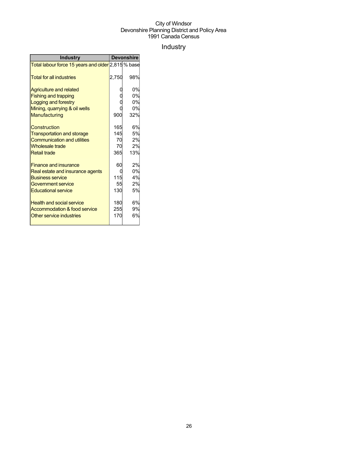## Industry

| <b>Industry</b>                                    | <b>Devonshire</b> |     |
|----------------------------------------------------|-------------------|-----|
| Total labour force 15 years and older 2,815 % base |                   |     |
| <b>Total for all industries</b>                    | 2,750             | 98% |
| <b>Agriculture and related</b>                     |                   | 0%  |
| <b>Fishing and trapping</b>                        |                   | 0%  |
| Logging and forestry                               |                   | 0%  |
| Mining, quarrying & oil wells                      |                   | 0%  |
| Manufacturing                                      | 900               | 32% |
| Construction                                       | 165               | 6%  |
| <b>Transportation and storage</b>                  | 145               | 5%  |
| <b>Communication and utilities</b>                 | 70                | 2%  |
| <b>Wholesale trade</b>                             | 70                | 2%  |
| <b>Retail trade</b>                                | 365               | 13% |
| <b>Finance and insurance</b>                       | 60                | 2%  |
| Real estate and insurance agents                   | 0                 | 0%  |
| <b>Business service</b>                            | 115               | 4%  |
| Government service                                 | 55                | 2%  |
| <b>Educational service</b>                         | 130               | 5%  |
| <b>Health and social service</b>                   | 180               | 6%  |
| Accommodation & food service                       | 255               | 9%  |
| Other service industries                           | 170               | 6%  |
|                                                    |                   |     |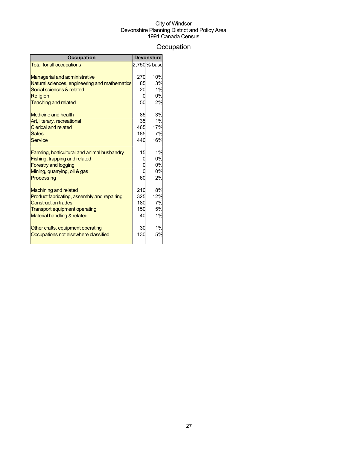## **Occupation**

| <b>Occupation</b>                             |     | <b>Devonshire</b> |
|-----------------------------------------------|-----|-------------------|
| <b>Total for all occupations</b>              |     | 2,750 % base      |
|                                               |     |                   |
| <b>Managerial and administrative</b>          | 270 | 10%               |
| Natural sciences, engineering and mathematics | 85  | 3%                |
| Social sciences & related                     | 20  | 1%                |
| Religion                                      | 0   | 0%                |
| <b>Teaching and related</b>                   | 50  | 2%                |
| <b>Medicine and health</b>                    | 85  | 3%                |
| Art, literary, recreational                   | 35  | 1%                |
| <b>Clerical and related</b>                   | 465 | 17%               |
| <b>Sales</b>                                  | 185 | 7%                |
| <b>Service</b>                                | 440 | 16%               |
| Farming, horticultural and animal husbandry   | 15  | 1%                |
| Fishing, trapping and related                 | 0   | 0%                |
| <b>Forestry and logging</b>                   |     | 0%                |
| Mining, quarrying, oil & gas                  |     | 0%                |
| Processing                                    | 60  | 2%                |
| <b>Machining and related</b>                  | 210 | 8%                |
| Product fabricating, assembly and repairing   | 325 | 12%               |
| <b>Construction trades</b>                    | 180 | 7%                |
| <b>Transport equipment operating</b>          | 150 | 5%                |
| Material handling & related                   | 40  | 1%                |
|                                               |     |                   |
| Other crafts, equipment operating             | 30  | 1%                |
| Occupations not elsewhere classified          | 130 | 5%                |
|                                               |     |                   |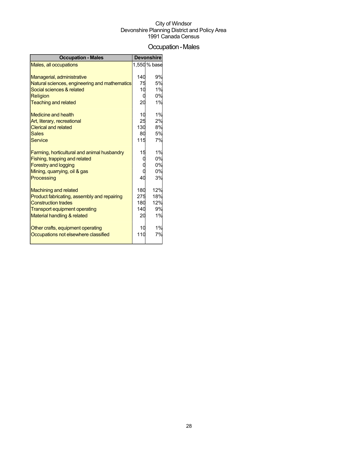## Occupation-Males

| <b>Occupation - Males</b>                     |     | <b>Devonshire</b> |
|-----------------------------------------------|-----|-------------------|
| Males, all occupations                        |     | 1,550 % base      |
|                                               |     |                   |
| Managerial, administrative                    | 140 | 9%                |
| Natural sciences, engineering and mathematics | 75  | 5%                |
| Social sciences & related                     | 10  | 1%                |
| Religion                                      | O   | 0%                |
| <b>Teaching and related</b>                   | 20  | 1%                |
| <b>Medicine and health</b>                    | 10  | 1%                |
| Art, literary, recreational                   | 25  | 2%                |
| <b>Clerical and related</b>                   | 130 | 8%                |
| <b>Sales</b>                                  | 80  | 5%                |
| <b>Service</b>                                | 115 | 7%                |
| Farming, horticultural and animal husbandry   | 15  | 1%                |
| Fishing, trapping and related                 |     | 0%                |
| <b>Forestry and logging</b>                   |     | 0%                |
| Mining, quarrying, oil & gas                  |     | 0%                |
| Processing                                    | 40  | 3%                |
| <b>Machining and related</b>                  | 180 | 12%               |
| Product fabricating, assembly and repairing   | 275 | 18%               |
| <b>Construction trades</b>                    | 180 | 12%               |
| <b>Transport equipment operating</b>          | 140 | 9%                |
| Material handling & related                   | 20  | 1%                |
| Other crafts, equipment operating             | 10  | 1%                |
| Occupations not elsewhere classified          | 110 | 7%                |
|                                               |     |                   |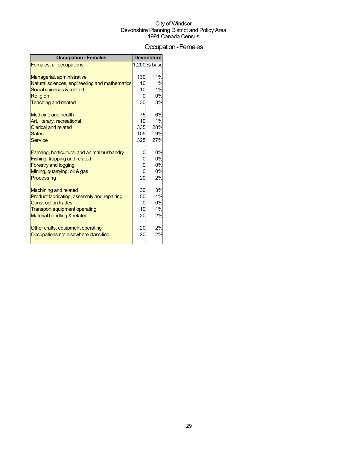### Occupation-Females

| <b>Occupation - Females</b>                   |         | <b>Devonshire</b> |
|-----------------------------------------------|---------|-------------------|
| Females, all occupations                      |         | 1,200 % base      |
|                                               |         |                   |
| Managerial, administrative                    | 130     | 11%               |
| Natural sciences, engineering and mathematics | 10      | 1%                |
| Social sciences & related                     | 10      | 1%                |
| <b>Religion</b>                               | 0       | 0%                |
| <b>Teaching and related</b>                   | 30      | 3%                |
| <b>Medicine and health</b>                    | 75      | 6%                |
| Art, literary, recreational                   | 10      | 1%                |
| <b>Clerical and related</b>                   | 335     | 28%               |
| <b>Sales</b>                                  | 105     | 9%                |
| <b>Service</b>                                | 325     | 27%               |
|                                               |         |                   |
| Farming, horticultural and animal husbandry   |         | 0%                |
| Fishing, trapping and related                 |         | 0%                |
| <b>Forestry and logging</b>                   |         | 0%                |
| Mining, quarrying, oil & gas                  |         | 0%                |
| Processing                                    | 20      | 2%                |
|                                               |         |                   |
| <b>Machining and related</b>                  | 30      | 3%                |
| Product fabricating, assembly and repairing   | 50      | 4%                |
| <b>Construction trades</b>                    | 0<br>10 | 0%<br>1%          |
| Transport equipment operating                 |         | 2%                |
| Material handling & related                   | 20      |                   |
| Other crafts, equipment operating             | 20      | 2%                |
| Occupations not elsewhere classified          | 20      | 2%                |
|                                               |         |                   |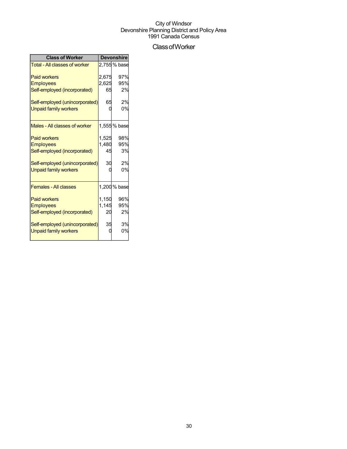## ClassofWorker

| <b>Class of Worker</b>               | <b>Devonshire</b> |              |  |
|--------------------------------------|-------------------|--------------|--|
| <b>Total - All classes of worker</b> |                   | 2,755 % base |  |
| <b>Paid workers</b>                  | 2,675             | 97%          |  |
| <b>Employees</b>                     | 2,625             | 95%          |  |
| Self-employed (incorporated)         | 65                | 2%           |  |
| Self-employed (unincorporated)       | 65                | 2%           |  |
| <b>Unpaid family workers</b>         |                   | 0%           |  |
| Males - All classes of worker        |                   | 1,555 % base |  |
| <b>Paid workers</b>                  | 1,525             | 98%          |  |
| <b>Employees</b>                     | 1,480             | 95%          |  |
| Self-employed (incorporated)         | 45                | 3%           |  |
| Self-employed (unincorporated)       | 30                | 2%           |  |
| <b>Unpaid family workers</b>         |                   | 0%           |  |
| <b>Females - All classes</b>         |                   | 1,200 % base |  |
| <b>Paid workers</b>                  | 1,150             | 96%          |  |
| <b>Employees</b>                     | 1,145             | 95%          |  |
| Self-employed (incorporated)         | 20                | 2%           |  |
| Self-employed (unincorporated)       | 35                | 3%           |  |
| <b>Unpaid family workers</b>         |                   | 0%           |  |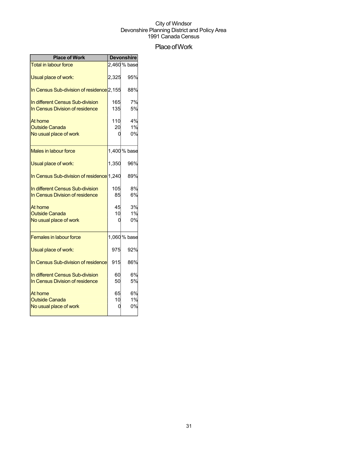## Place of Work

| <b>Place of Work</b>                                                |               | <b>Devonshire</b> |
|---------------------------------------------------------------------|---------------|-------------------|
| <b>Total in labour force</b>                                        |               | 2,460 % base      |
| Usual place of work:                                                | 2,325         | 95%               |
| In Census Sub-division of residence <sup>[2,155]</sup>              |               | 88%               |
| In different Census Sub-division<br>In Census Division of residence | 165<br>135    | 7%<br>5%          |
| At home<br><b>Outside Canada</b><br>No usual place of work          | 110<br>20     | 4%<br>1%<br>0%    |
| <b>Males in labour force</b>                                        |               | 1,400 % base      |
| Usual place of work:                                                | 1,350         | 96%               |
| In Census Sub-division of residence 1,240                           |               | 89%               |
| In different Census Sub-division<br>In Census Division of residence | 105<br>85     | 8%<br>6%          |
| At home<br><b>Outside Canada</b><br>No usual place of work          | 45<br>10<br>0 | 3%<br>1%<br>0%    |
| <b>Females in labour force</b>                                      |               | 1,060 % base      |
| Usual place of work:                                                | 975           | 92%               |
| In Census Sub-division of residence                                 | 915           | 86%               |
| In different Census Sub-division<br>In Census Division of residence | 60<br>50      | 6%<br>5%          |
| At home<br><b>Outside Canada</b><br>No usual place of work          | 65<br>10      | 6%<br>1%<br>0%    |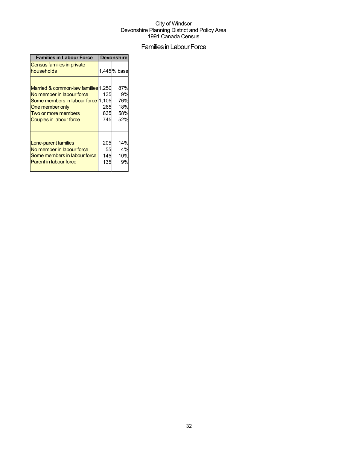## Families in Labour Force

| <b>Families in Labour Force</b>                                                                                                                                             | <b>Devonshire</b>        |                                       |  |
|-----------------------------------------------------------------------------------------------------------------------------------------------------------------------------|--------------------------|---------------------------------------|--|
| Census families in private<br>households                                                                                                                                    |                          | 1,445% base                           |  |
| Married & common-law families 1,250<br>No member in labour force<br>Some members in labour force 1,105<br>One member only<br>Two or more members<br>Couples in labour force | 135<br>265<br>835<br>745 | 87%<br>9%<br>76%<br>18%<br>58%<br>52% |  |
| Lone-parent families<br>No member in labour force<br>Some members in labour force<br><b>Parent in labour force</b>                                                          | 205<br>55<br>145<br>135  | 14%<br>4%<br>10%<br>9%                |  |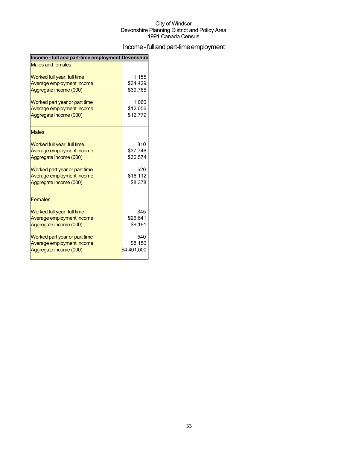## Income - full and part-time employment

| Income - full and part-time employment Devonshire |             |
|---------------------------------------------------|-------------|
| <b>Males and females</b>                          |             |
| Worked full year, full time                       | 1,155       |
| Average employment income                         | \$34,429    |
| Aggregate income (000)                            | \$39,765    |
| Worked part year or part time                     | 1,060       |
| Average employment income                         | \$12,056    |
| Aggregate income (000)                            | \$12,779    |
| <b>Males</b>                                      |             |
| Worked full year, full time                       | 810         |
| Average employment income                         | \$37,746    |
| Aggregate income (000)                            | \$30,574    |
| Worked part year or part time                     | 520         |
| Average employment income                         | \$16,112    |
| Aggregate income (000)                            | \$8,378     |
| <b>Females</b>                                    |             |
| Worked full year, full time                       | 345         |
| Average employment income                         | \$26,641    |
| Aggregate income (000)                            | \$9,191     |
| Worked part year or part time                     | 540         |
| Average employment income                         | \$8,150     |
| Aggregate income (000)                            | \$4,401,000 |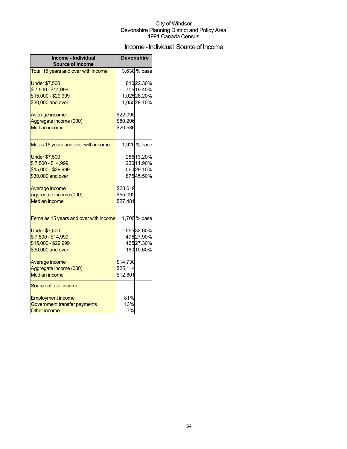## Income - Individual Source of Income

| Income - Individual<br><b>Source of Income</b> | <b>Devonshire</b> |              |
|------------------------------------------------|-------------------|--------------|
| Total 15 years and over with income            |                   | 3,630 % base |
| <b>Under \$7,500</b>                           |                   | 81022.30%    |
| \$7,500 - \$14,999                             |                   | 705 19.40%   |
| \$15,000 - \$29,999                            |                   | 1,02528.20%  |
| \$30,000 and over                              |                   | 1,05529.10%  |
| Average income                                 | \$22,095          |              |
| Aggregate income (000)                         | \$80,206          |              |
| <b>Median income</b>                           | \$20,586          |              |
| Males 15 years and over with income            |                   | 1,925 % base |
| <b>Under \$7,500</b>                           |                   | 255 13.20%   |
| \$7,500 - \$14,999                             |                   | 230 11.90%   |
| \$15,000 - \$29,999                            |                   | 56029.10%    |
| \$30,000 and over                              |                   | 87545.50%    |
| Average income                                 | \$28,619          |              |
| Aggregate income (000)                         | \$55,092          |              |
| <b>Median income</b>                           | \$27,481          |              |
| Females 15 years and over with income          |                   | 1,705 % base |
| <b>Under \$7,500</b>                           |                   | 55532.60%    |
| \$7,500 - \$14,999                             |                   | 47527.90%    |
| \$15,000 - \$29,999                            |                   | 46527.30%    |
| \$30,000 and over                              |                   | 180 10.60%   |
| Average income                                 | \$14,730          |              |
| Aggregate income (000)                         | \$25,114          |              |
| <b>Median income</b>                           | \$12,801          |              |
| Source of total income:                        |                   |              |
| <b>Employment income</b>                       | 81%               |              |
| Government transfer payments                   | 13%               |              |
| <b>Other income</b>                            | 7%                |              |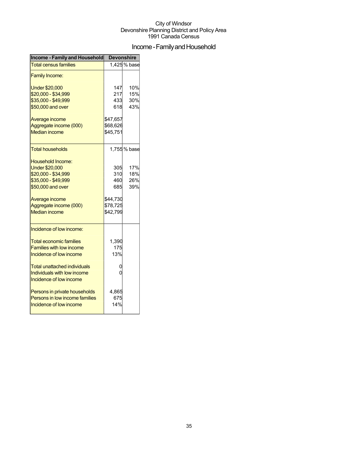## Income - Family and Household

| <b>Income - Family and Household</b>                                                         | Devonshire           |                   |  |
|----------------------------------------------------------------------------------------------|----------------------|-------------------|--|
| <b>Total census families</b>                                                                 |                      | 1,425% base       |  |
| <b>Family Income:</b>                                                                        |                      |                   |  |
| <b>Under \$20,000</b><br>\$20,000 - \$34,999                                                 | 147<br>217           | 10%<br>15%        |  |
| \$35,000 - \$49,999                                                                          | 433                  | 30%               |  |
| \$50,000 and over                                                                            | 618                  | 43%               |  |
| Average income<br>Aggregate income (000)                                                     | \$47,657<br>\$68,626 |                   |  |
| <b>Median income</b>                                                                         | \$45,751             |                   |  |
| <b>Total households</b>                                                                      |                      | 1,755% base       |  |
| Household Income:<br><b>Under \$20,000</b><br>\$20,000 - \$34,999<br>\$35,000 - \$49,999     | 305<br>310<br>460    | 17%<br>18%<br>26% |  |
| \$50,000 and over                                                                            | 685                  | 39%               |  |
| Average income                                                                               | \$44,730             |                   |  |
| Aggregate income (000)<br><b>Median income</b>                                               | \$78,725<br>\$42,799 |                   |  |
| Incidence of low income:                                                                     |                      |                   |  |
| <b>Total economic families</b><br><b>Families with low income</b><br>Incidence of low income | 1,390<br>175<br>13%  |                   |  |
| Total unattached individuals                                                                 | 0                    |                   |  |
| Individuals with low income<br>Incidence of low income                                       | 0                    |                   |  |
| Persons in private households<br>Persons in low income families<br>Incidence of low income   | 4,865<br>675<br>14%  |                   |  |